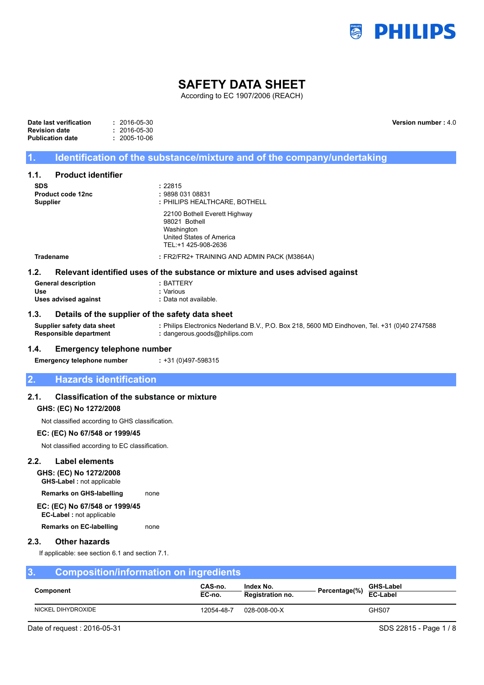

**Version number :** 4.0

# **SAFETY DATA SHEET**

According to EC 1907/2006 (REACH)

| Date last verification | $: 2016 - 05 - 30$ |
|------------------------|--------------------|
| Revision date          | $: 2016 - 05 - 30$ |
| Publication date       | $: 2005 - 10 - 06$ |

## **1. Identification of the substance/mixture and of the company/undertaking**

## **1.1. Product identifier**

| <b>SDS</b>                 | : 22815                                                                                                         |  |
|----------------------------|-----------------------------------------------------------------------------------------------------------------|--|
| Product code 12nc          | : 9898 031 08831                                                                                                |  |
| <b>Supplier</b>            | : PHILIPS HEALTHCARE, BOTHELL                                                                                   |  |
|                            | 22100 Bothell Everett Highway<br>98021 Bothell<br>Washington<br>United States of America<br>TEL:+1 425-908-2636 |  |
| <b>Tradename</b>           | : FR2/FR2+ TRAINING AND ADMIN PACK (M3864A)                                                                     |  |
| 1.2.                       | Relevant identified uses of the substance or mixture and uses advised against                                   |  |
| <b>General description</b> | $:$ BATTERY                                                                                                     |  |
|                            |                                                                                                                 |  |
| Use                        | : Various                                                                                                       |  |

### **1.3. Details of the supplier of the safety data sheet**

**Supplier safety data sheet :** Philips Electronics Nederland B.V., P.O. Box 218, 5600 MD Eindhoven, Tel. +31 (0)40 2747588 **Responsible department :** dangerous.goods@philips.com

### **1.4. Emergency telephone number**

**Emergency telephone number :** +31 (0)497-598315

## **2. Hazards identification**

## **2.1. Classification of the substance or mixture**

### **GHS: (EC) No 1272/2008**

Not classified according to GHS classification.

### **EC: (EC) No 67/548 or 1999/45**

Not classified according to EC classification.

## **2.2. Label elements**

**GHS: (EC) No 1272/2008**

**GHS-Label :** not applicable

**Remarks on GHS-labelling** none

**EC: (EC) No 67/548 or 1999/45 EC-Label :** not applicable

**Remarks on EC-labelling** none

## **2.3. Other hazards**

If applicable: see section 6.1 and section 7.1.

| Composition/information on ingredients<br>3. |                    |                   |                                      |  |                                            |
|----------------------------------------------|--------------------|-------------------|--------------------------------------|--|--------------------------------------------|
|                                              | <b>Component</b>   | CAS-no.<br>EC-no. | Index No.<br><b>Registration no.</b> |  | <b>GHS-Label</b><br>Percentage(%) EC-Label |
|                                              | NICKEL DIHYDROXIDE | 12054-48-7        | 028-008-00-X                         |  | GHS07                                      |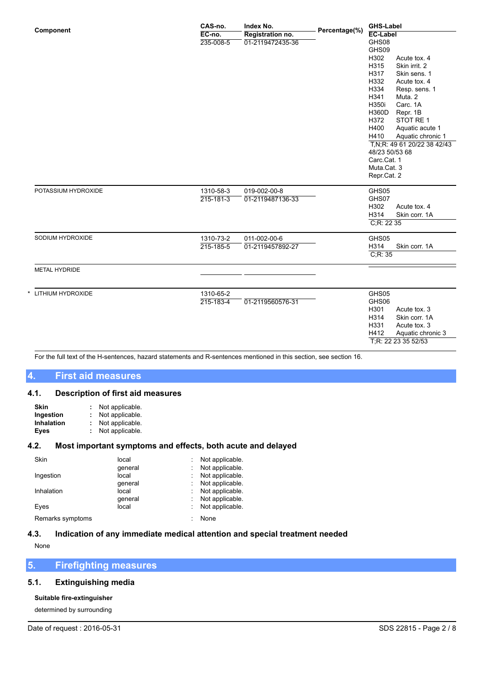|                      | CAS-no.         | Index No.        | Percentage(%) | <b>GHS-Label</b><br><b>EC-Label</b> |  |
|----------------------|-----------------|------------------|---------------|-------------------------------------|--|
| Component            | EC-no.          | Registration no. |               |                                     |  |
|                      | 235-008-5       | 01-2119472435-36 |               | GHS08                               |  |
|                      |                 |                  |               | GHS09                               |  |
|                      |                 |                  |               | H302<br>Acute tox. 4                |  |
|                      |                 |                  |               | H315<br>Skin irrit. 2               |  |
|                      |                 |                  |               | H317<br>Skin sens. 1                |  |
|                      |                 |                  |               | H332<br>Acute tox. 4                |  |
|                      |                 |                  |               | H334<br>Resp. sens. 1               |  |
|                      |                 |                  |               | H341<br>Muta. 2                     |  |
|                      |                 |                  |               | H350i<br>Carc. 1A                   |  |
|                      |                 |                  |               | H360D<br>Repr. 1B                   |  |
|                      |                 |                  |               | STOT RE1<br>H372                    |  |
|                      |                 |                  |               | H400<br>Aquatic acute 1             |  |
|                      |                 |                  |               | H410<br>Aquatic chronic 1           |  |
|                      |                 |                  |               | T, N; R: 49 61 20/22 38 42/43       |  |
|                      |                 |                  |               | 48/23 50/53 68                      |  |
|                      |                 |                  |               | Carc.Cat. 1                         |  |
|                      |                 |                  |               | Muta.Cat. 3                         |  |
|                      |                 |                  |               | Repr.Cat. 2                         |  |
| POTASSIUM HYDROXIDE  | 1310-58-3       | 019-002-00-8     |               | GHS05                               |  |
|                      | $215 - 181 - 3$ | 01-2119487136-33 |               | GHS07                               |  |
|                      |                 |                  |               | H302<br>Acute tox. 4                |  |
|                      |                 |                  |               | H314<br>Skin corr. 1A               |  |
|                      |                 |                  |               | C; R: 2235                          |  |
| SODIUM HYDROXIDE     | 1310-73-2       | 011-002-00-6     |               | GHS05                               |  |
|                      | 215-185-5       | 01-2119457892-27 |               | H314<br>Skin corr. 1A               |  |
|                      |                 |                  |               | C; R: 35                            |  |
| <b>METAL HYDRIDE</b> |                 |                  |               |                                     |  |
|                      |                 |                  |               |                                     |  |
| LITHIUM HYDROXIDE    | 1310-65-2       |                  |               | GHS05                               |  |
|                      | 215-183-4       | 01-2119560576-31 |               | GHS06                               |  |
|                      |                 |                  |               | H301<br>Acute tox. 3                |  |
|                      |                 |                  |               | H314<br>Skin corr. 1A               |  |
|                      |                 |                  |               | H331<br>Acute tox. 3                |  |
|                      |                 |                  |               | H412<br>Aquatic chronic 3           |  |
|                      |                 |                  |               | T;R: 22 23 35 52/53                 |  |

For the full text of the H-sentences, hazard statements and R-sentences mentioned in this section, see section 16.

# **4. First aid measures**

## **4.1. Description of first aid measures**

| Skin              | Not applicable. |
|-------------------|-----------------|
| Ingestion         | Not applicable. |
| <b>Inhalation</b> | Not applicable. |
| Eyes              | Not applicable. |

## **4.2. Most important symptoms and effects, both acute and delayed**

| Skin             | local   |    | Not applicable. |
|------------------|---------|----|-----------------|
|                  | qeneral | ÷  | Not applicable. |
| Ingestion        | local   | ÷. | Not applicable. |
|                  | qeneral |    | Not applicable. |
| Inhalation       | local   |    | Not applicable. |
|                  | qeneral | ÷. | Not applicable. |
| Eyes             | local   |    | Not applicable. |
| Remarks symptoms |         |    | None            |

# **4.3. Indication of any immediate medical attention and special treatment needed**

None

# **5. Firefighting measures**

# **5.1. Extinguishing media**

# **Suitable fire-extinguisher**

determined by surrounding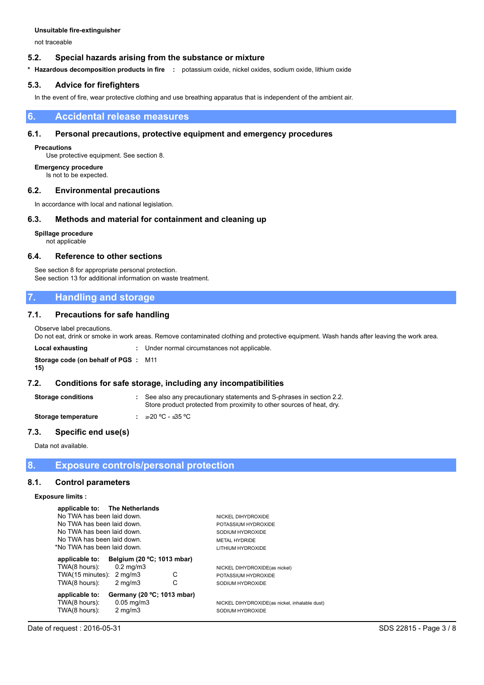not traceable

### **5.2. Special hazards arising from the substance or mixture**

**\* Hazardous decomposition products in fire :** potassium oxide, nickel oxides, sodium oxide, lithium oxide

### **5.3. Advice for firefighters**

In the event of fire, wear protective clothing and use breathing apparatus that is independent of the ambient air.

### **6. Accidental release measures**

### **6.1. Personal precautions, protective equipment and emergency procedures**

#### **Precautions**

Use protective equipment. See section 8.

**Emergency procedure** Is not to be expected.

## **6.2. Environmental precautions**

In accordance with local and national legislation.

### **6.3. Methods and material for containment and cleaning up**

### **Spillage procedure**

not applicable

### **6.4. Reference to other sections**

See section 8 for appropriate personal protection. See section 13 for additional information on waste treatment.

## **7. Handling and storage**

## **7.1. Precautions for safe handling**

Observe label precautions.

Do not eat, drink or smoke in work areas. Remove contaminated clothing and protective equipment. Wash hands after leaving the work area.

| Local exhausting                                  | : Under normal circumstances not applicable. |
|---------------------------------------------------|----------------------------------------------|
| <b>Storage code (on behalf of PGS: M11</b><br>15) |                                              |

## **7.2. Conditions for safe storage, including any incompatibilities**

**Storage conditions <b>:** See also any precautionary statements and S-phrases in section 2.2. Store product protected from proximity to other sources of heat, dry. **Storage temperature :** ≥-20 ºC - ≤35 ºC

## **7.3. Specific end use(s)**

Data not available.

## **8. Exposure controls/personal protection**

### **8.1. Control parameters**

#### **Exposure limits :**

| applicable to: The Netherlands |                            |   |                                               |
|--------------------------------|----------------------------|---|-----------------------------------------------|
| No TWA has been laid down.     |                            |   | NICKEL DIHYDROXIDE                            |
| No TWA has been laid down.     |                            |   | POTASSIUM HYDROXIDE                           |
| No TWA has been laid down.     |                            |   | SODIUM HYDROXIDE                              |
| No TWA has been laid down.     |                            |   | <b>METAL HYDRIDE</b>                          |
| *No TWA has been laid down.    |                            |   | LITHIUM HYDROXIDE                             |
| applicable to:                 | Belgium (20 °C; 1013 mbar) |   |                                               |
| TWA(8 hours):                  | $0.2$ mg/m $3$             |   | NICKEL DIHYDROXIDE(as nickel)                 |
| TWA(15 minutes):               | $2 \text{ mg/m}$           | С | POTASSIUM HYDROXIDE                           |
| TWA(8 hours):                  | $2 \text{ mg/m}$           | С | SODIUM HYDROXIDE                              |
| applicable to:                 | Germany (20 °C; 1013 mbar) |   |                                               |
| TWA(8 hours):                  | $0.05$ mg/m $3$            |   | NICKEL DIHYDROXIDE(as nickel, inhalable dust) |
| TWA(8 hours):                  | $2 \text{ mg/m}$           |   | SODIUM HYDROXIDE                              |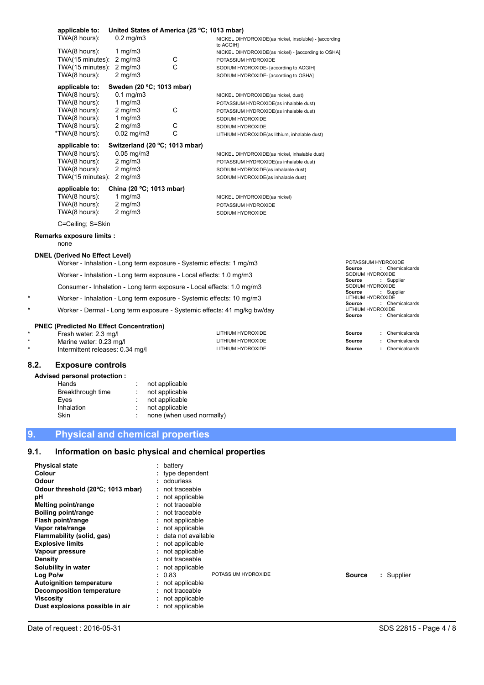| applicable to:    |                                | United States of America (25 °C; 1013 mbar) |                                                                    |
|-------------------|--------------------------------|---------------------------------------------|--------------------------------------------------------------------|
| TWA(8 hours):     | $0.2 \text{ mg/m}$ 3           |                                             | NICKEL DIHYDROXIDE(as nickel, insoluble) - [according<br>to ACGIH] |
| TWA(8 hours):     | 1 mg/m $3$                     |                                             | NICKEL DIHYDROXIDE(as nickel) - [according to OSHA]                |
| TWA(15 minutes):  | $2$ mg/m $3$                   | С                                           | POTASSIUM HYDROXIDE                                                |
| TWA(15 minutes):  | $2 \text{ mg/m}$               | C                                           | SODIUM HYDROXIDE- [according to ACGIH]                             |
| TWA(8 hours):     | $2 \text{ mg/m}$ 3             |                                             | SODIUM HYDROXIDE- [according to OSHA]                              |
| applicable to:    | Sweden (20 °C; 1013 mbar)      |                                             |                                                                    |
| TWA(8 hours):     | $0.1$ mg/m $3$                 |                                             | NICKEL DIHYDROXIDE(as nickel, dust)                                |
| TWA(8 hours):     | 1 mg/m $3$                     |                                             | POTASSIUM HYDROXIDE(as inhalable dust)                             |
| TWA(8 hours):     | $2 \text{ mg/m}$ 3             | C                                           | POTASSIUM HYDROXIDE(as inhalable dust)                             |
| TWA(8 hours):     | 1 mg/m $3$                     |                                             | SODIUM HYDROXIDE                                                   |
| TWA(8 hours):     | $2 \text{ mg/m}$ 3             | С                                           | SODIUM HYDROXIDE                                                   |
| *TWA(8 hours):    | $0.02$ mg/m $3$                | C                                           | LITHIUM HYDROXIDE(as lithium, inhalable dust)                      |
| applicable to:    | Switzerland (20 °C; 1013 mbar) |                                             |                                                                    |
| TWA(8 hours):     | $0.05$ mg/m $3$                |                                             | NICKEL DIHYDROXIDE(as nickel, inhalable dust)                      |
| TWA(8 hours):     | $2 \text{ mg/m}$ 3             |                                             | POTASSIUM HYDROXIDE(as inhalable dust)                             |
| TWA(8 hours):     | $2 \text{ mg/m}$ 3             |                                             | SODIUM HYDROXIDE(as inhalable dust)                                |
| TWA(15 minutes):  | $2 \text{ mg/m}$               |                                             | SODIUM HYDROXIDE(as inhalable dust)                                |
| applicable to:    | China (20 °C; 1013 mbar)       |                                             |                                                                    |
| TWA(8 hours):     | 1 mg/m $3$                     |                                             | NICKEL DIHYDROXIDE(as nickel)                                      |
| TWA(8 hours):     | $2 \text{ mg/m}$ 3             |                                             | POTASSIUM HYDROXIDE                                                |
| TWA(8 hours):     | $2 \text{ mg/m}$ 3             |                                             | SODIUM HYDROXIDE                                                   |
| C=Ceiling; S=Skin |                                |                                             |                                                                    |

### **Remarks exposure limits :**

none

### **DNEL (Derived No Effect Level)**

| Worker - Inhalation - Long term exposure - Systemic effects: 1 mg/m3  | PUTASSIUM HYDROXIDE       |  |  |
|-----------------------------------------------------------------------|---------------------------|--|--|
|                                                                       | : Chemicalcards<br>Source |  |  |
| Worker - Inhalation - Long term exposure - Local effects: 1.0 mg/m3   | SODIUM HYDROXIDE          |  |  |
|                                                                       | : Supplier<br>Source      |  |  |
| Consumer - Inhalation - Long term exposure - Local effects: 1.0 mg/m3 | SODIUM HYDROXIDE          |  |  |
|                                                                       |                           |  |  |

Worker - Inhalation - Long term exposure - Systemic effects: 10 mg/m3

Worker - Dermal - Long term exposure - Systemic effects: 41 mg/kg bw/day LITHIUM Source

## **PNEC (Predicted No Effect Concentration)**

| Fresh water: 2.3 mg/l            | LITHIUM HYDROXIDE | Source | Chemicalcards |
|----------------------------------|-------------------|--------|---------------|
| Marine water: 0.23 mg/l          | LITHIUM HYDROXIDE | Source | Chemicalcards |
| Intermittent releases: 0.34 mg/l | LITHIUM HYDROXIDE | Source | Chemicalcards |
|                                  |                   |        |               |

## **8.2. Exposure controls**

### **Advised personal protection :**

| Hands             | not applicable            |
|-------------------|---------------------------|
| Breakthrough time | not applicable            |
| Eves              | not applicable            |
| Inhalation        | not applicable            |
| Skin              | none (when used normally) |
|                   |                           |

# **9. Physical and chemical properties**

# **9.1. Information on basic physical and chemical properties**

| <b>Physical state</b>             | $:$ battery                   |                             |
|-----------------------------------|-------------------------------|-----------------------------|
| Colour                            | : type dependent              |                             |
| Odour                             | : odourless                   |                             |
| Odour threshold (20°C; 1013 mbar) | $:$ not traceable             |                             |
| рH                                | : not applicable              |                             |
| <b>Melting point/range</b>        | : not traceable               |                             |
| Boiling point/range               | : not traceable               |                             |
| Flash point/range                 | : not applicable              |                             |
| Vapor rate/range                  | : not applicable              |                             |
| Flammability (solid, gas)         | : data not available          |                             |
| <b>Explosive limits</b>           | : not applicable              |                             |
| Vapour pressure                   | : not applicable              |                             |
| <b>Density</b>                    | $:$ not traceable             |                             |
| Solubility in water               | : not applicable              |                             |
| Log Po/w                          | POTASSIUM HYDROXIDE<br>: 0.83 | : Supplier<br><b>Source</b> |
| <b>Autoignition temperature</b>   | : not applicable              |                             |
| Decomposition temperature         | : not traceable               |                             |
| <b>Viscosity</b>                  | : not applicable              |                             |
| Dust explosions possible in air   | : not applicable              |                             |

POTASSIUM HYDROXIDE

**Source : Supplier<br>LITHIUM HYDROXIDE** 

**Source :** Chemicalcards<br>LITHIUM HYDROXIDE

**Source :** Chemicalcards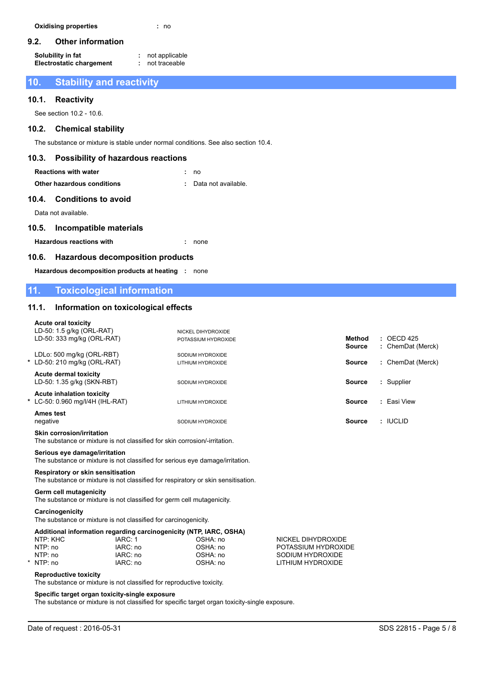## **9.2. Other information**

| Solubility in fat               | not applicable |
|---------------------------------|----------------|
| <b>Electrostatic chargement</b> | not traceable  |

# **10. Stability and reactivity**

## **10.1. Reactivity**

See section 10.2 - 10.6.

## **10.2. Chemical stability**

The substance or mixture is stable under normal conditions. See also section 10.4.

## **10.3. Possibility of hazardous reactions**

| <b>Reactions with water</b> | : no                  |
|-----------------------------|-----------------------|
| Other hazardous conditions  | : Data not available. |

## **10.4. Conditions to avoid**

Data not available.

## **10.5. Incompatible materials**

**Hazardous reactions with :** none

## **10.6. Hazardous decomposition products**

**Hazardous decomposition products at heating :** none

# **11. Toxicological information**

## **11.1. Information on toxicological effects**

| <b>Acute oral toxicity</b>                                                                                             |                      |                                           |                                       |                                |                                            |
|------------------------------------------------------------------------------------------------------------------------|----------------------|-------------------------------------------|---------------------------------------|--------------------------------|--------------------------------------------|
| LD-50: 1.5 g/kg (ORL-RAT)<br>LD-50: 333 mg/kg (ORL-RAT)                                                                |                      | NICKEL DIHYDROXIDE<br>POTASSIUM HYDROXIDE |                                       | <b>Method</b><br><b>Source</b> | $\therefore$ OECD 425<br>: ChemDat (Merck) |
| LDLo: 500 mg/kg (ORL-RBT)<br>* LD-50: 210 mg/kg (ORL-RAT)                                                              |                      | SODIUM HYDROXIDE<br>LITHIUM HYDROXIDE     |                                       | <b>Source</b>                  | : ChemDat (Merck)                          |
| <b>Acute dermal toxicity</b><br>LD-50: 1.35 g/kg (SKN-RBT)                                                             |                      | SODIUM HYDROXIDE                          |                                       | <b>Source</b>                  | : Supplier                                 |
| <b>Acute inhalation toxicity</b><br>* LC-50: 0.960 mg/l/4H (IHL-RAT)                                                   |                      | LITHIUM HYDROXIDE                         |                                       | <b>Source</b>                  | : Easi View                                |
| <b>Ames test</b><br>negative                                                                                           |                      | SODIUM HYDROXIDE                          |                                       | <b>Source</b>                  | : IUCLID                                   |
| Skin corrosion/irritation<br>The substance or mixture is not classified for skin corrosion/-irritation.                |                      |                                           |                                       |                                |                                            |
| Serious eye damage/irritation<br>The substance or mixture is not classified for serious eye damage/irritation.         |                      |                                           |                                       |                                |                                            |
| Respiratory or skin sensitisation<br>The substance or mixture is not classified for respiratory or skin sensitisation. |                      |                                           |                                       |                                |                                            |
| Germ cell mutagenicity<br>The substance or mixture is not classified for germ cell mutagenicity.                       |                      |                                           |                                       |                                |                                            |
| Carcinogenicity<br>The substance or mixture is not classified for carcinogenicity.                                     |                      |                                           |                                       |                                |                                            |
| Additional information regarding carcinogenicity (NTP, IARC, OSHA)                                                     |                      |                                           |                                       |                                |                                            |
| NTP: KHC                                                                                                               | IARC: 1              | OSHA: no                                  | NICKEL DIHYDROXIDE                    |                                |                                            |
| NTP: no                                                                                                                | IARC: no             | OSHA: no                                  | POTASSIUM HYDROXIDE                   |                                |                                            |
| NTP: no<br>NTP: no                                                                                                     | IARC: no<br>IARC: no | OSHA: no<br>OSHA: no                      | SODIUM HYDROXIDE<br>LITHIUM HYDROXIDE |                                |                                            |
| <b>Reproductive toxicity</b><br>The substance or mixture is not classified for reproductive toxicity.                  |                      |                                           |                                       |                                |                                            |
| Specific target organ toxicity-single exposure                                                                         |                      |                                           |                                       |                                |                                            |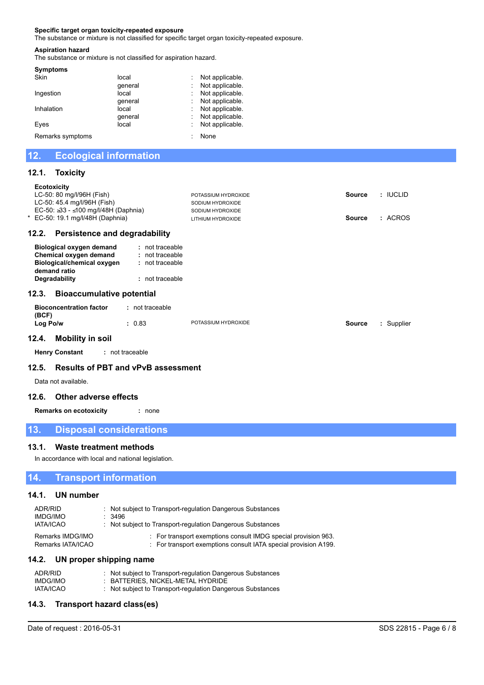### **Specific target organ toxicity-repeated exposure**

The substance or mixture is not classified for specific target organ toxicity-repeated exposure.

### **Aspiration hazard**

The substance or mixture is not classified for aspiration hazard.

| <b>Symptoms</b>  |         |                 |
|------------------|---------|-----------------|
| Skin             | local   | Not applicable. |
|                  | qeneral | Not applicable. |
| Ingestion        | local   | Not applicable. |
|                  | qeneral | Not applicable. |
| Inhalation       | local   | Not applicable. |
|                  | qeneral | Not applicable. |
| Eyes             | local   | Not applicable. |
| Remarks symptoms |         | None            |

# **12. Ecological information**

### **12.1. Toxicity**

| <b>Ecotoxicity</b><br>LC-50: 80 mg/l/96H (Fish)<br>LC-50: 45.4 mg/l/96H (Fish)<br>EC-50: ≥33 - ≤100 mg/l/48H (Daphnia)<br>* EC-50: 19.1 mg/l/48H (Daphnia) |                                                                            | POTASSIUM HYDROXIDE<br>SODIUM HYDROXIDE<br>SODIUM HYDROXIDE<br>LITHIUM HYDROXIDE | <b>Source</b><br><b>Source</b> | : IUCLID<br>: ACROS |
|------------------------------------------------------------------------------------------------------------------------------------------------------------|----------------------------------------------------------------------------|----------------------------------------------------------------------------------|--------------------------------|---------------------|
| <b>Persistence and degradability</b><br>12.2.                                                                                                              |                                                                            |                                                                                  |                                |                     |
| <b>Biological oxygen demand</b><br>Chemical oxygen demand<br>Biological/chemical oxygen<br>demand ratio<br>Degradability                                   | $:$ not traceable<br>: not traceable<br>: not traceable<br>: not traceable |                                                                                  |                                |                     |
| <b>Bioaccumulative potential</b><br>12.3.                                                                                                                  |                                                                            |                                                                                  |                                |                     |
| <b>Bioconcentration factor</b><br>(BCF)                                                                                                                    | : not traceable                                                            |                                                                                  |                                |                     |
| Log Po/w                                                                                                                                                   | : 0.83                                                                     | POTASSIUM HYDROXIDE                                                              | <b>Source</b>                  | : Supplier          |
| Mahilify in aail<br>19 A                                                                                                                                   |                                                                            |                                                                                  |                                |                     |

### **12.4. Mobility in soil**

**Henry Constant :** not traceable

### **12.5. Results of PBT and vPvB assessment**

Data not available.

### **12.6. Other adverse effects**

**Remarks on ecotoxicity :** none

## **13. Disposal considerations**

### **13.1. Waste treatment methods**

In accordance with local and national legislation.

## **14. Transport information**

### **14.1. UN number**

| ADR/RID           | : Not subject to Transport-regulation Dangerous Substances      |
|-------------------|-----------------------------------------------------------------|
| IMDG/IMO          | .3496                                                           |
| <b>IATA/ICAO</b>  | : Not subject to Transport-regulation Dangerous Substances      |
| Remarks IMDG/IMO  | : For transport exemptions consult IMDG special provision 963.  |
| Remarks IATA/ICAO | : For transport exemptions consult IATA special provision A199. |

# **14.2. UN proper shipping name**

| ADR/RID   | : Not subject to Transport-regulation Dangerous Substances |
|-----------|------------------------------------------------------------|
| IMDG/IMO  | : BATTERIES. NICKEL-METAL HYDRIDE                          |
| IATA/ICAO | : Not subject to Transport-regulation Dangerous Substances |

## **14.3. Transport hazard class(es)**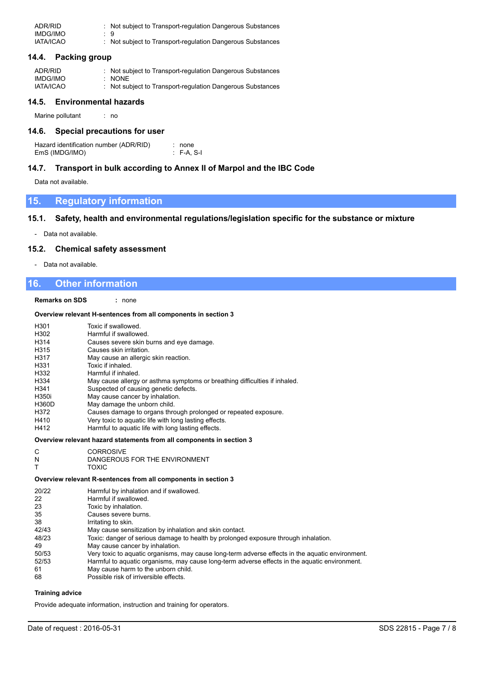| ADR/RID          | : Not subject to Transport-regulation Dangerous Substances |
|------------------|------------------------------------------------------------|
| IMDG/IMO         | ۰. 9                                                       |
| <b>IATA/ICAO</b> | : Not subject to Transport-regulation Dangerous Substances |

### **14.4. Packing group**

| ADR/RID          | : Not subject to Transport-regulation Dangerous Substances |
|------------------|------------------------------------------------------------|
| IMDG/IMO         | : NONE                                                     |
| <b>IATA/ICAO</b> | : Not subject to Transport-regulation Dangerous Substances |

### **14.5. Environmental hazards**

Marine pollutant : no

### **14.6. Special precautions for user**

Hazard identification number (ADR/RID) : none<br>EmS (IMDG/IMO) : F-A, S-I EmS (IMDG/IMO)

### **14.7. Transport in bulk according to Annex II of Marpol and the IBC Code**

Data not available.

## **15. Regulatory information**

## **15.1. Safety, health and environmental regulations/legislation specific for the substance or mixture**

- Data not available.

### **15.2. Chemical safety assessment**

- Data not available.

## **16. Other information**

**Remarks on SDS :** none

### **Overview relevant H-sentences from all components in section 3**

| H <sub>301</sub>  | Toxic if swallowed.                                                        |
|-------------------|----------------------------------------------------------------------------|
| H302              | Harmful if swallowed.                                                      |
| H314              | Causes severe skin burns and eye damage.                                   |
| H <sub>315</sub>  | Causes skin irritation.                                                    |
| H <sub>3</sub> 17 | May cause an allergic skin reaction.                                       |
| H <sub>331</sub>  | Toxic if inhaled.                                                          |
| H332              | Harmful if inhaled                                                         |
| H334              | May cause allergy or asthma symptoms or breathing difficulties if inhaled. |
| H <sub>341</sub>  | Suspected of causing genetic defects.                                      |
| H350i             | May cause cancer by inhalation.                                            |
| <b>H360D</b>      | May damage the unborn child.                                               |
| H372              | Causes damage to organs through prolonged or repeated exposure.            |
| H410              | Very toxic to aquatic life with long lasting effects.                      |
| H412              | Harmful to aquatic life with long lasting effects.                         |
|                   |                                                                            |

### **Overview relevant hazard statements from all components in section 3**

- C CORROSIVE<br>N DANGEROUS
- DANGEROUS FOR THE ENVIRONMENT
- T TOXIC

### **Overview relevant R-sentences from all components in section 3**

| 20/22 | Harmful by inhalation and if swallowed.                                                          |
|-------|--------------------------------------------------------------------------------------------------|
| 22    | Harmful if swallowed.                                                                            |
| 23    | Toxic by inhalation.                                                                             |
| 35    | Causes severe burns.                                                                             |
| 38    | Irritating to skin.                                                                              |
| 42/43 | May cause sensitization by inhalation and skin contact.                                          |
| 48/23 | Toxic: danger of serious damage to health by prolonged exposure through inhalation.              |
| 49    | May cause cancer by inhalation.                                                                  |
| 50/53 | Very toxic to aquatic organisms, may cause long-term adverse effects in the aquatic environment. |
| 52/53 | Harmful to aquatic organisms, may cause long-term adverse effects in the aquatic environment.    |
| 61    | May cause harm to the unborn child.                                                              |
| 68    | Possible risk of irriversible effects.                                                           |
|       |                                                                                                  |

### **Training advice**

Provide adequate information, instruction and training for operators.